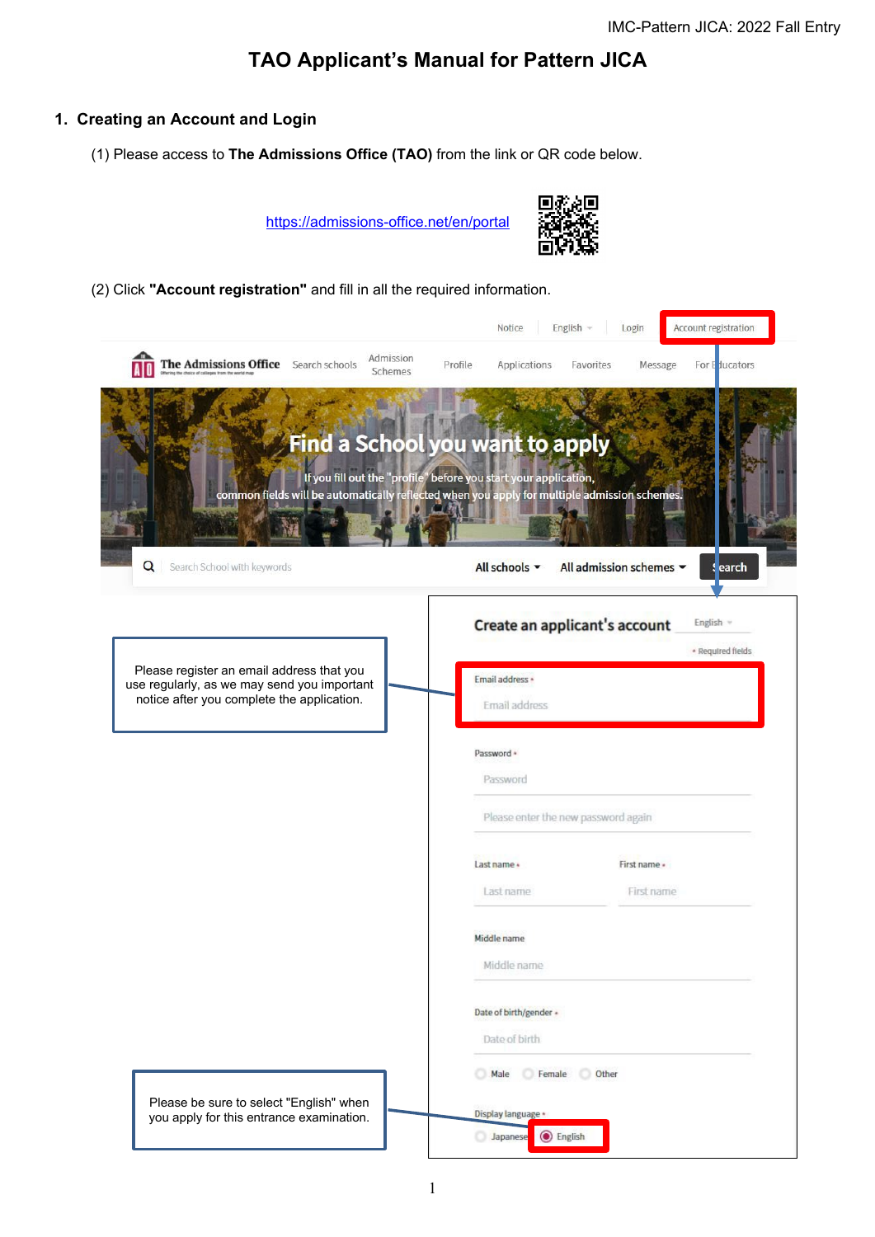## **TAO Applicant's Manual for Pattern JICA**

## **1. Creating an Account and Login**

(1) Please access to **The Admissions Office (TAO)** from the link or QR code below.

<https://admissions-office.net/en/portal>



(2) Click **"Account registration"** and fill in all the required information.

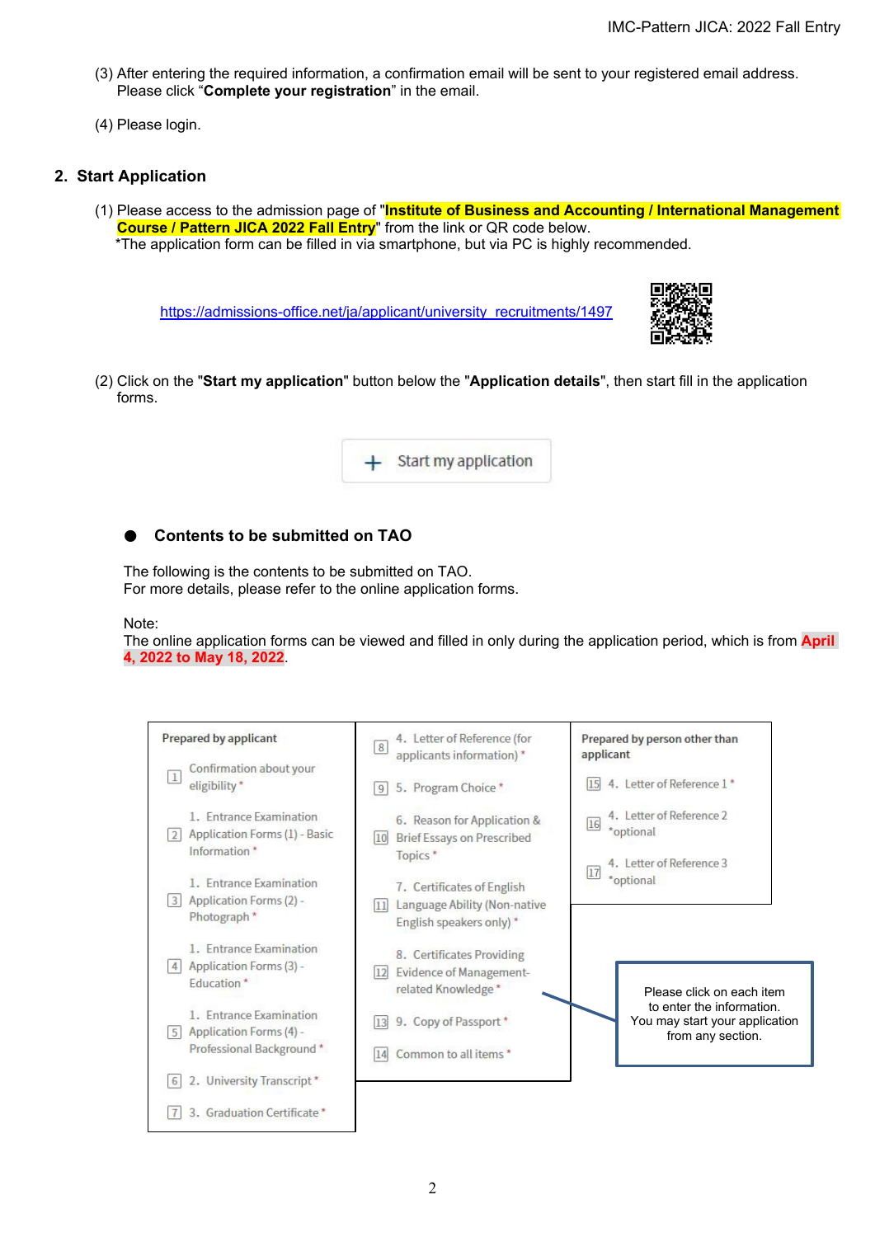- (3) After entering the required information, a confirmation email will be sent to your registered email address. Please click "**Complete your registration**" in the email.
- (4) Please login.

## **2. Start Application**

(1) Please access to the admission page of "**Institute of Business and Accounting / International Management Course / Pattern JICA 2022 Fall Entry**" from the link or QR code below. \*The application form can be filled in via smartphone, but via PC is highly recommended.

[https://admissions-office.net/ja/applicant/university\\_recruitments/1497](https://admissions-office.net/ja/applicant/university_recruitments/1497)



(2) Click on the "**Start my application**" button below the "**Application details**", then start fill in the application forms.



## ● **Contents to be submitted on TAO**

The following is the contents to be submitted on TAO. For more details, please refer to the online application forms.

Note:

The online application forms can be viewed and filled in only during the application period, which is from **April 4, 2022 to May 18, 2022**.

| Prepared by applicant                                                                      | 4. Letter of Reference (for<br> 8 <br>applicants information) *                                | Prepared by person other than<br>applicant                                       |
|--------------------------------------------------------------------------------------------|------------------------------------------------------------------------------------------------|----------------------------------------------------------------------------------|
| Confirmation about your<br>$\mathbf{1}$<br>eligibility*                                    | 5. Program Choice*<br>9                                                                        | 4. Letter of Reference 1*<br>15                                                  |
| 1. Entrance Examination<br>Application Forms (1) - Basic<br>$\overline{2}$<br>Information* | 6. Reason for Application &<br><b>Brief Essays on Prescribed</b><br>10<br>Topics*              | 4. Letter of Reference 2<br>16<br>*optional<br>4. Letter of Reference 3          |
| 1. Entrance Examination<br>Application Forms (2) -<br> 3 <br>Photograph <sup>*</sup>       | 7. Certificates of English<br>Language Ability (Non-native<br> 11 <br>English speakers only) * | 17 <br>*optional                                                                 |
| 1. Entrance Examination<br>Application Forms (3) -<br>4<br>Education <sup>*</sup>          | 8. Certificates Providing<br><b>Evidence of Management-</b><br>12<br>related Knowledge*        | Please click on each item                                                        |
| 1. Entrance Examination<br>Application Forms (4) -<br>5 <sub>1</sub>                       | 9. Copy of Passport*<br>13                                                                     | to enter the information.<br>You may start your application<br>from any section. |
| Professional Background *<br>2. University Transcript*<br>6                                | Common to all items *<br>14                                                                    |                                                                                  |
| 3. Graduation Certificate *                                                                |                                                                                                |                                                                                  |